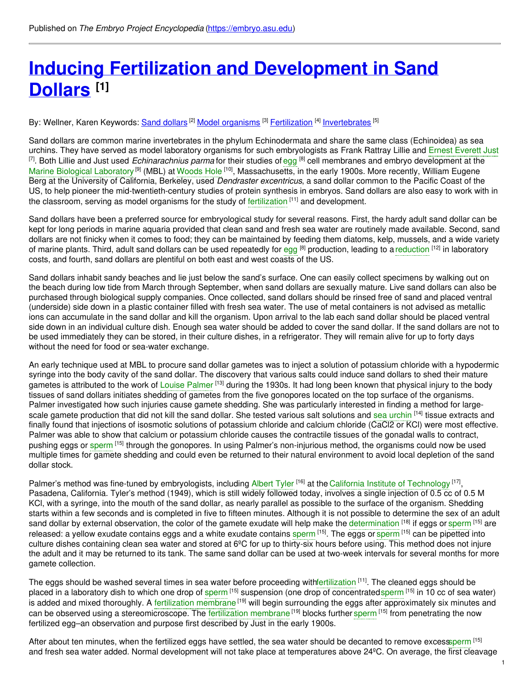# **Inducing Fertilization and [Development](https://embryo.asu.edu/pages/inducing-fertilization-and-development-sand-dollars) in Sand Dollars [1]**

### By: Wellner, Karen Keywords: <u>Sand [dollars](https://embryo.asu.edu/keywords/sand-dollars)</u> <sup>[2]</sup> <u>Model [organisms](https://embryo.asu.edu/keywords/model-organisms)</u> [<sup>3]</sup> <u>[Fertilization](https://embryo.asu.edu/keywords/fertilization) [<sup>4]</sup> [Invertebrates](https://embryo.asu.edu/keywords/invertebrates)</u> [5]

Sand dollars are common marine invertebrates in the phylum Echinodermata and share the same class (Echinoidea) as sea urchins. They have served as model laboratory organisms for such embryologists as Frank Rattray Lillie and Ernest [Everett](https://embryo.asu.edu/search?text=Ernest%20Everett%20Just) Just <sup>[7]</sup>. Both Lillie and Just used *Echinarachnius parma* for their studies of [egg](https://embryo.asu.edu/search?text=egg) <sup>[8]</sup> cell membranes and embryo development at the Marine Biological [Laboratory](https://embryo.asu.edu/search?text=Marine%20Biological%20Laboratory)<sup>[9]</sup> (MBL) at [Woods](https://embryo.asu.edu/search?text=Woods%20Hole) Hole <sup>[10]</sup>, Massachusetts, in the early 1900s. More recently, William Eugene Berg at the University of California, Berkeley, used *Dendraster excentricus*, a sand dollar common to the Pacific Coast of the US, to help pioneer the mid-twentieth-century studies of protein synthesis in embryos. Sand dollars are also easy to work with in the classroom, serving as model organisms for the study of [fertilization](https://embryo.asu.edu/search?text=fertilization) <sup>[11]</sup> and development.

Sand dollars have been a preferred source for embryological study for several reasons. First, the hardy adult sand dollar can be kept for long periods in marine aquaria provided that clean sand and fresh sea water are routinely made available. Second, sand dollars are not finicky when it comes to food; they can be maintained by feeding them diatoms, kelp, mussels, and a wide variety of marine plants. Third, adult sand dollars can be used repeatedly for [egg](https://embryo.asu.edu/search?text=egg) <sup>[8]</sup> production, leading to a [reduction](https://embryo.asu.edu/search?text=reduction) <sup>[12]</sup> in laboratory costs, and fourth, sand dollars are plentiful on both east and west coasts of the US.

Sand dollars inhabit sandy beaches and lie just below the sand's surface. One can easily collect specimens by walking out on the beach during low tide from March through September, when sand dollars are sexually mature. Live sand dollars can also be purchased through biological supply companies. Once collected, sand dollars should be rinsed free of sand and placed ventral (underside) side down in a plastic container filled with fresh sea water. The use of metal containers is not advised as metallic ions can accumulate in the sand dollar and kill the organism. Upon arrival to the lab each sand dollar should be placed ventral side down in an individual culture dish. Enough sea water should be added to cover the sand dollar. If the sand dollars are not to be used immediately they can be stored, in their culture dishes, in a refrigerator. They will remain alive for up to forty days without the need for food or sea-water exchange.

An early technique used at MBL to procure sand dollar gametes was to inject a solution of potassium chloride with a hypodermic syringe into the body cavity of the sand dollar. The discovery that various salts could induce sand dollars to shed their mature gametes is attributed to the work of Louise [Palmer](https://embryo.asu.edu/search?text=Louise%20Palmer) <sup>[13]</sup> during the 1930s. It had long been known that physical injury to the body tissues of sand dollars initiates shedding of gametes from the five gonopores located on the top surface of the organisms. Palmer investigated how such injuries cause gamete shedding. She was particularly interested in finding a method for largescale gamete production that did not kill the sand dollar. She tested various salt solutions and sea [urchin](https://embryo.asu.edu/search?text=sea%20urchin) <sup>[14]</sup> tissue extracts and finally found that injections of isosmotic solutions of potassium chloride and calcium chloride (CaCl2 or KCl) were most effective. Palmer was able to show that calcium or potassium chloride causes the contractile tissues of the gonadal walls to contract, pushing eggs or [sperm](https://embryo.asu.edu/search?text=sperm) <sup>[15]</sup> through the gonopores. In using Palmer's non-injurious method, the organisms could now be used multiple times for gamete shedding and could even be returned to their natural environment to avoid local depletion of the sand dollar stock.

Palmer's method was fine-tuned by embryologists, including [Albert](https://embryo.asu.edu/search?text=Albert%20Tyler) Tyler <sup>[16]</sup> at the California Institute of [Technology](https://embryo.asu.edu/search?text=California%20Institute%20of%20Technology) <sup>[17]</sup>, Pasadena, California. Tyler's method (1949), which is still widely followed today, involves a single injection of 0.5 cc of 0.5 M KCl, with a syringe, into the mouth of the sand dollar, as nearly parallel as possible to the surface of the organism. Shedding starts within a few seconds and is completed in five to fifteen minutes. Although it is not possible to determine the sex of an adult sand dollar by external observation, the color of the gamete exudate will help make the [determination](https://embryo.asu.edu/search?text=determination) [18] if eggs or [sperm](https://embryo.asu.edu/search?text=sperm) [15] are released: a yellow exudate contains eggs and a white exudate contains [sperm](https://embryo.asu.edu/search?text=sperm) [15]. The eggs or sperm [15] can be pipetted into culture dishes containing clean sea water and stored at 6ºC for up to thirty-six hours before using. This method does not injure the adult and it may be returned to its tank. The same sand dollar can be used at two-week intervals for several months for more gamete collection.

The eggs should be washed several times in sea water before proceeding wit[hfertilization](https://embryo.asu.edu/search?text=fertilization) <sup>[11]</sup>. The cleaned eggs should be placed in a laboratory dish to which one drop of [sperm](https://embryo.asu.edu/search?text=sperm) <sup>[15]</sup> suspension (one drop of concentratedsperm <sup>[15]</sup> in 10 cc of sea water) is added and mixed thoroughly. A [fertilization](https://embryo.asu.edu/search?text=fertilization%20membrane) membrane <sup>[19]</sup> will begin surrounding the eggs after approximately six minutes and can be observed using a stereomicroscope. The [fertilization](https://embryo.asu.edu/search?text=fertilization%20membrane) membrane <sup>[19]</sup> blocks further [sperm](https://embryo.asu.edu/search?text=sperm) <sup>[15]</sup> from penetrating the now fertilized egg–an observation and purpose first described by Just in the early 1900s.

After about ten minutes, when the fertilized eggs have settled, the sea water should be decanted to remove exce[ssperm](https://embryo.asu.edu/search?text=sperm) [15] and fresh sea water added. Normal development will not take place at temperatures above 24ºC. On average, the first cleavage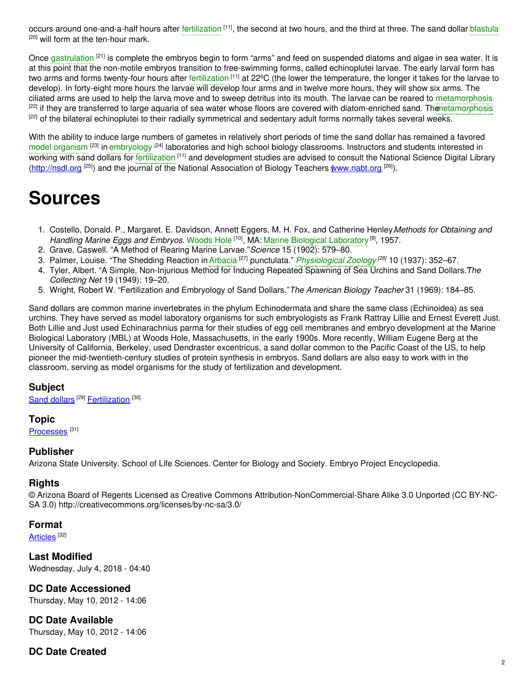occurs around one-and-a-half hours after [fertilization](https://embryo.asu.edu/search?text=fertilization) <sup>[11]</sup>, the second at two hours, and the third at three. The sand dollar [blastula](https://embryo.asu.edu/search?text=blastula) [20] will form at the ten-hour mark.

Once [gastrulation](https://embryo.asu.edu/search?text=gastrulation) <sup>[21]</sup> is complete the embryos begin to form "arms" and feed on suspended diatoms and algae in sea water. It is at this point that the non-motile embryos transition to free-swimming forms, called echinoplutei larvae. The early larval form has two arms and forms twenty-four hours after [fertilization](https://embryo.asu.edu/search?text=fertilization) <sup>[11]</sup> at 22ºC (the lower the temperature, the longer it takes for the larvae to develop). In forty-eight more hours the larvae will develop four arms and in twelve more hours, they will show six arms. The ciliated arms are used to help the larva move and to sweep detritus into its mouth. The larvae can be reared to [metamorphosis](https://embryo.asu.edu/search?text=metamorphosis) <sup>[22]</sup> if they are transferred to large aquaria of sea water whose floors are covered with diatom-enriched sand. Thenetamorphosis <sup>[22]</sup> of the bilateral echinoplutei to their radially symmetrical and sedentary adult forms normally takes several weeks.

With the ability to induce large numbers of gametes in relatively short periods of time the sand dollar has remained a favored model [organism](https://embryo.asu.edu/search?text=model%20organism) <sup>[23]</sup> in [embryology](https://embryo.asu.edu/search?text=embryology) <sup>[24]</sup> laboratories and high school biology classrooms. Instructors and students interested in working with sand dollars for [fertilization](https://embryo.asu.edu/search?text=fertilization) [11] and development studies are advised to consult the National Science Digital Library [\(http://nsdl.org](http://nsdl.org) <sup>[25]</sup>) and the journal of the National Association of Biology Teachers *w[ww.nabt.org](http://www.nabt.org)* <sup>[26]</sup>).

# **Sources**

- 1. Costello, Donald. P., Margaret. E. Davidson, Annett Eggers, M. H. Fox, and Catherine Henley.*Methods for Obtaining and* Handling Marine Eggs and Embryos. [Woods](https://embryo.asu.edu/search?text=Woods%20Hole) Hole <sup>[10]</sup>, MA: Marine Biological [Laboratory](https://embryo.asu.edu/search?text=Marine%20Biological%20Laboratory)<sup>[9]</sup>, 1957.
- 2. Grave, Caswell. "A Method of Rearing Marine Larvae."*Science* 15 (1902): 579–80.
- 3. Palmer, Louise. "The Shedding Reaction in [Arbacia](https://embryo.asu.edu/search?text=Arbacia) <sup>[27]</sup> punctulata." *[Physiological](https://embryo.asu.edu/search?text=Physiological%20Zoology) Zoology <sup>[28]</sup>* 10 (1937): 352–67.
- 4. Tyler, Albert. "A Simple, Non-Injurious Method for Inducing Repeated Spawning of Sea Urchins and Sand Dollars.*T*" *he Collecting Net* 19 (1949): 19–20.
- 5. Wright, Robert W. "Fertilization and Embryology of Sand Dollars."*The American Biology Teacher* 31 (1969): 184–85.

Sand dollars are common marine invertebrates in the phylum Echinodermata and share the same class (Echinoidea) as sea urchins. They have served as model laboratory organisms for such embryologists as Frank Rattray Lillie and Ernest Everett Just. Both Lillie and Just used Echinarachnius parma for their studies of egg cell membranes and embryo development at the Marine Biological Laboratory (MBL) at Woods Hole, Massachusetts, in the early 1900s. More recently, William Eugene Berg at the University of California, Berkeley, used Dendraster excentricus, a sand dollar common to the Pacific Coast of the US, to help pioneer the mid-twentieth-century studies of protein synthesis in embryos. Sand dollars are also easy to work with in the classroom, serving as model organisms for the study of fertilization and development.

#### **Subject**

Sand [dollars](https://embryo.asu.edu/library-congress-subject-headings/sand-dollars)<sup>[29]</sup> [Fertilization](https://embryo.asu.edu/medical-subject-headings/fertilization)<sup>[30]</sup>

#### **Topic**

[Processes](https://embryo.asu.edu/topics/processes)<sup>[31]</sup>

#### **Publisher**

Arizona State University. School of Life Sciences. Center for Biology and Society. Embryo Project Encyclopedia.

#### **Rights**

© Arizona Board of Regents Licensed as Creative Commons Attribution-NonCommercial-Share Alike 3.0 Unported (CC BY-NC-SA 3.0) http://creativecommons.org/licenses/by-nc-sa/3.0/

#### **Format**

[Articles](https://embryo.asu.edu/formats/articles) <sup>[32]</sup>

**Last Modified** Wednesday, July 4, 2018 - 04:40

# **DC Date Accessioned**

Thursday, May 10, 2012 - 14:06

**DC Date Available** Thursday, May 10, 2012 - 14:06

# **DC Date Created**